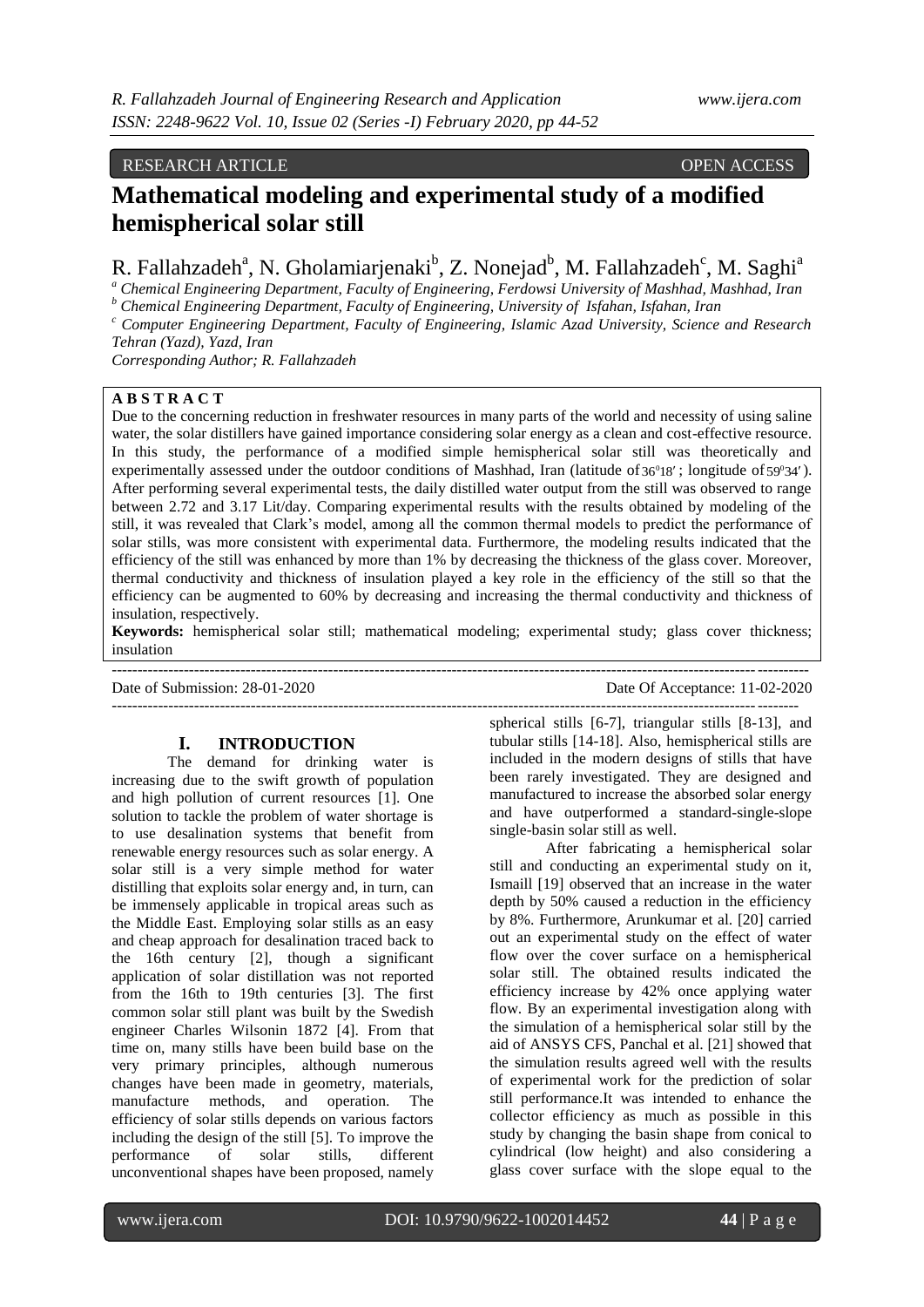## RESEARCH ARTICLE OPEN ACCESS

# **Mathematical modeling and experimental study of a modified hemispherical solar still**

R. Fallahzadeh<sup>a</sup>, N. Gholamiarjenaki<sup>b</sup>, Z. Nonejad<sup>b</sup>, M. Fallahzadeh<sup>c</sup>, M. Saghi<sup>a</sup>

*<sup>a</sup> Chemical Engineering Department, Faculty of Engineering, Ferdowsi University of Mashhad, Mashhad, Iran*

*<sup>b</sup> Chemical Engineering Department, Faculty of Engineering, University of Isfahan, Isfahan, Iran*

*<sup>c</sup> Computer Engineering Department, Faculty of Engineering, Islamic Azad University, Science and Research Tehran (Yazd), Yazd, Iran*

*Corresponding Author; R. Fallahzadeh*

## **A B S T R A C T**

Due to the concerning reduction in freshwater resources in many parts of the world and necessity of using saline water, the solar distillers have gained importance considering solar energy as a clean and cost-effective resource. In this study, the performance of a modified simple hemispherical solar still was theoretically and experimentally assessed under the outdoor conditions of Mashhad, Iran (latitude of  $36^018'$ ; longitude of  $59^034'$ ). After performing several experimental tests, the daily distilled water output from the still was observed to range between 2.72 and 3.17 Lit/day. Comparing experimental results with the results obtained by modeling of the still, it was revealed that Clark's model, among all the common thermal models to predict the performance of solar stills, was more consistent with experimental data. Furthermore, the modeling results indicated that the efficiency of the still was enhanced by more than 1% by decreasing the thickness of the glass cover. Moreover, thermal conductivity and thickness of insulation played a key role in the efficiency of the still so that the efficiency can be augmented to 60% by decreasing and increasing the thermal conductivity and thickness of insulation, respectively.

**Keywords:** hemispherical solar still; mathematical modeling; experimental study; glass cover thickness; insulation ---------------------------------------------------------------------------------------------------------------------------------------

Date of Submission: 28-01-2020 Date Of Acceptance: 11-02-2020 -------------------------------------------------------------------------------------------------------------------------------------

**I. INTRODUCTION**

The demand for drinking water is increasing due to the swift growth of population and high pollution of current resources [1]. One solution to tackle the problem of water shortage is to use desalination systems that benefit from renewable energy resources such as solar energy. A solar still is a very simple method for water distilling that exploits solar energy and, in turn, can be immensely applicable in tropical areas such as the Middle East. Employing solar stills as an easy and cheap approach for desalination traced back to the 16th century [2], though a significant application of solar distillation was not reported from the 16th to 19th centuries [3]. The first common solar still plant was built by the Swedish engineer Charles Wilsonin 1872 [4]. From that time on, many stills have been build base on the very primary principles, although numerous changes have been made in geometry, materials, manufacture methods, and operation. The efficiency of solar stills depends on various factors including the design of the still [5]. To improve the performance of solar stills, different unconventional shapes have been proposed, namely

spherical stills [6-7], triangular stills [8-13], and tubular stills [14-18]. Also, hemispherical stills are included in the modern designs of stills that have been rarely investigated. They are designed and manufactured to increase the absorbed solar energy and have outperformed a standard-single-slope single-basin solar still as well.

After fabricating a hemispherical solar still and conducting an experimental study on it, Ismaill [19] observed that an increase in the water depth by 50% caused a reduction in the efficiency by 8%. Furthermore, Arunkumar et al. [20] carried out an experimental study on the effect of water flow over the cover surface on a hemispherical solar still. The obtained results indicated the efficiency increase by 42% once applying water flow. By an experimental investigation along with the simulation of a hemispherical solar still by the aid of ANSYS CFS, Panchal et al. [21] showed that the simulation results agreed well with the results of experimental work for the prediction of solar still performance.It was intended to enhance the collector efficiency as much as possible in this study by changing the basin shape from conical to cylindrical (low height) and also considering a glass cover surface with the slope equal to the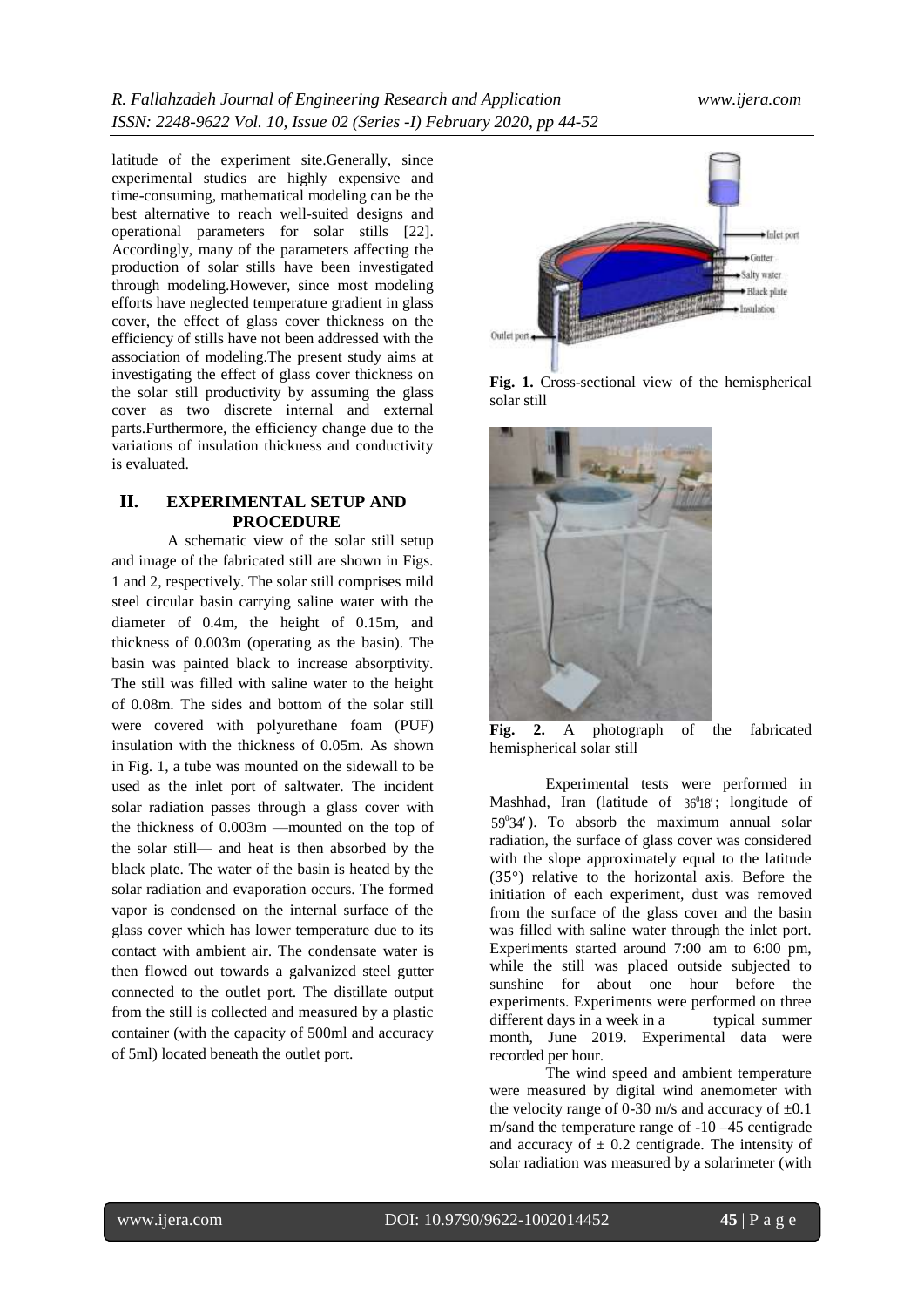latitude of the experiment site.Generally, since experimental studies are highly expensive and time-consuming, mathematical modeling can be the best alternative to reach well-suited designs and operational parameters for solar stills [22]. Accordingly, many of the parameters affecting the production of solar stills have been investigated through modeling.However, since most modeling efforts have neglected temperature gradient in glass cover, the effect of glass cover thickness on the efficiency of stills have not been addressed with the association of modeling.The present study aims at investigating the effect of glass cover thickness on the solar still productivity by assuming the glass cover as two discrete internal and external parts.Furthermore, the efficiency change due to the variations of insulation thickness and conductivity is evaluated.

## **II. EXPERIMENTAL SETUP AND PROCEDURE**

A schematic view of the solar still setup and image of the fabricated still are shown in Figs. 1 and 2, respectively. The solar still comprises mild steel circular basin carrying saline water with the diameter of 0.4m, the height of 0.15m, and thickness of 0.003m (operating as the basin). The basin was painted black to increase absorptivity. The still was filled with saline water to the height of 0.08m. The sides and bottom of the solar still were covered with polyurethane foam (PUF) insulation with the thickness of 0.05m. As shown in Fig. 1, a tube was mounted on the sidewall to be used as the inlet port of saltwater. The incident solar radiation passes through a glass cover with the thickness of 0.003m —mounted on the top of the solar still— and heat is then absorbed by the black plate. The water of the basin is heated by the solar radiation and evaporation occurs. The formed vapor is condensed on the internal surface of the glass cover which has lower temperature due to its contact with ambient air. The condensate water is then flowed out towards a galvanized steel gutter connected to the outlet port. The distillate output from the still is collected and measured by a plastic container (with the capacity of 500ml and accuracy of 5ml) located beneath the outlet port.



**Fig. 1.** Cross-sectional view of the hemispherical solar still



**Fig. 2.** A photograph of the fabricated hemispherical solar still

Experimental tests were performed in Mashhad, Iran (latitude of  $36^018'$ ; longitude of 59 34 0 ). To absorb the maximum annual solar radiation, the surface of glass cover was considered with the slope approximately equal to the latitude (35°) relative to the horizontal axis. Before the initiation of each experiment, dust was removed from the surface of the glass cover and the basin was filled with saline water through the inlet port. Experiments started around 7:00 am to 6:00 pm, while the still was placed outside subjected to sunshine for about one hour before the experiments. Experiments were performed on three different days in a week in a typical summer month, June 2019. Experimental data were recorded per hour.

The wind speed and ambient temperature were measured by digital wind anemometer with the velocity range of 0-30 m/s and accuracy of  $\pm 0.1$ m/sand the temperature range of -10 –45 centigrade and accuracy of  $\pm$  0.2 centigrade. The intensity of solar radiation was measured by a solarimeter (with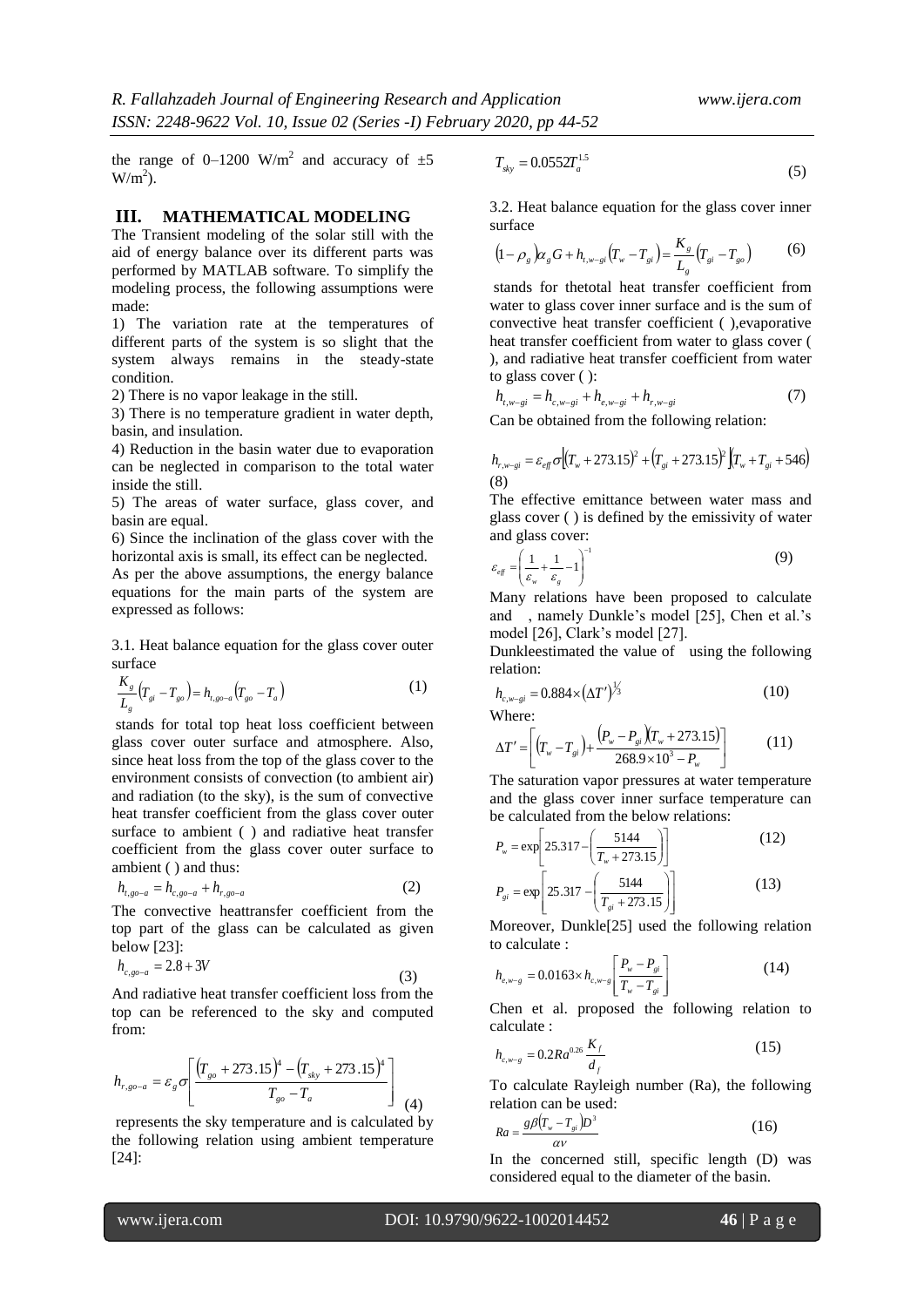the range of 0–1200 W/m<sup>2</sup> and accuracy of  $\pm 5$  $W/m<sup>2</sup>$ ).

#### **III. MATHEMATICAL MODELING**

The Transient modeling of the solar still with the aid of energy balance over its different parts was performed by MATLAB software. To simplify the modeling process, the following assumptions were made:

1) The variation rate at the temperatures of different parts of the system is so slight that the system always remains in the steady-state condition.

2) There is no vapor leakage in the still.

3) There is no temperature gradient in water depth, basin, and insulation.

4) Reduction in the basin water due to evaporation can be neglected in comparison to the total water inside the still.

5) The areas of water surface, glass cover, and basin are equal.

6) Since the inclination of the glass cover with the horizontal axis is small, its effect can be neglected.

As per the above assumptions, the energy balance equations for the main parts of the system are expressed as follows:

3.1. Heat balance equation for the glass cover outer surface

$$
\frac{K_{s}}{L_{s}}\left(T_{si}-T_{so}\right)=h_{t,go-a}\left(T_{go}-T_{a}\right)
$$
\n(1)

stands for total top heat loss coefficient between glass cover outer surface and atmosphere. Also, since heat loss from the top of the glass cover to the environment consists of convection (to ambient air) and radiation (to the sky), is the sum of convective heat transfer coefficient from the glass cover outer surface to ambient ( ) and radiative heat transfer coefficient from the glass cover outer surface to ambient ( ) and thus:

$$
h_{t,go-a} = h_{c,go-a} + h_{r,go-a}
$$
 (2)

The convective heattransfer coefficient from the top part of the glass can be calculated as given below [23]:

$$
h_{c,go-a} = 2.8 + 3V
$$
 (3)

And radiative heat transfer coefficient loss from the top can be referenced to the sky and computed from:

$$
h_{r,go-a} = \varepsilon_g \sigma \left[ \frac{\left( T_{go} + 273.15 \right)^4 - \left( T_{sky} + 273.15 \right)^4}{T_{go} - T_a} \right] \tag{4}
$$

represents the sky temperature and is calculated by the following relation using ambient temperature [24]:

$$
T_{sky} = 0.0552 T_a^{1.5}
$$
\n(5)

3.2. Heat balance equation for the glass cover inner surface

$$
(1 - \rho_s) \alpha_s G + h_{t, w - st} (T_w - T_{si}) = \frac{K_s}{L_s} (T_{si} - T_{so})
$$
 (6)

stands for thetotal heat transfer coefficient from water to glass cover inner surface and is the sum of convective heat transfer coefficient ( ),evaporative heat transfer coefficient from water to glass cover ( ), and radiative heat transfer coefficient from water to glass cover ( ):

$$
h_{t,w-gi} = h_{c,w-gi} + h_{e,w-gi} + h_{r,w-gi}
$$
 (7)

Can be obtained from the following relation:

$$
h_{r,w-gi} = \varepsilon_{eff} \sigma \Big[ (T_w + 273.15)^2 + (T_{gi} + 273.15)^2 \Big] (T_w + T_{gi} + 546)
$$
\n(8)

The effective emittance between water mass and glass cover ( ) is defined by the emissivity of water and glass cover:

$$
\varepsilon_{\text{eff}} = \left(\frac{1}{\varepsilon_{w}} + \frac{1}{\varepsilon_{g}} - 1\right)^{-1} \tag{9}
$$

Many relations have been proposed to calculate and , namely Dunkle's model [25], Chen et al.'s model [26], Clark's model [27].

Dunkleestimated the value of using the following relation:

$$
h_{c,w-gi} = 0.884 \times (\Delta T')^{1/3}
$$
 (10)

Where:

$$
\Delta T' = \left[ \left( T_w - T_{gi} \right) + \frac{\left( P_w - P_{gi} \right) \left( T_w + 273.15 \right)}{268.9 \times 10^3 - P_w} \right] \tag{11}
$$

The saturation vapor pressures at water temperature and the glass cover inner surface temperature can be calculated from the below relations:

$$
P_w = \exp\left[25.317 - \left(\frac{5144}{T_w + 273.15}\right)\right]
$$
(12)

$$
P_{gi} = \exp\left[25.317 - \left(\frac{5144}{T_{gi} + 273.15}\right)\right]
$$
 (13)

Moreover, Dunkle[25] used the following relation to calculate :

$$
h_{e,w-g} = 0.0163 \times h_{c,w-g} \left[ \frac{P_w - P_{gi}}{T_w - T_{gi}} \right]
$$
 (14)

Chen et al. proposed the following relation to calculate :

$$
h_{c,w-g} = 0.2Ra^{0.26}\frac{K_f}{d_f}
$$
 (15)

To calculate Rayleigh number (Ra), the following relation can be used:

$$
Ra = \frac{g\beta (T_w - T_{gi})D^3}{\alpha V} \tag{16}
$$

In the concerned still, specific length (D) was considered equal to the diameter of the basin.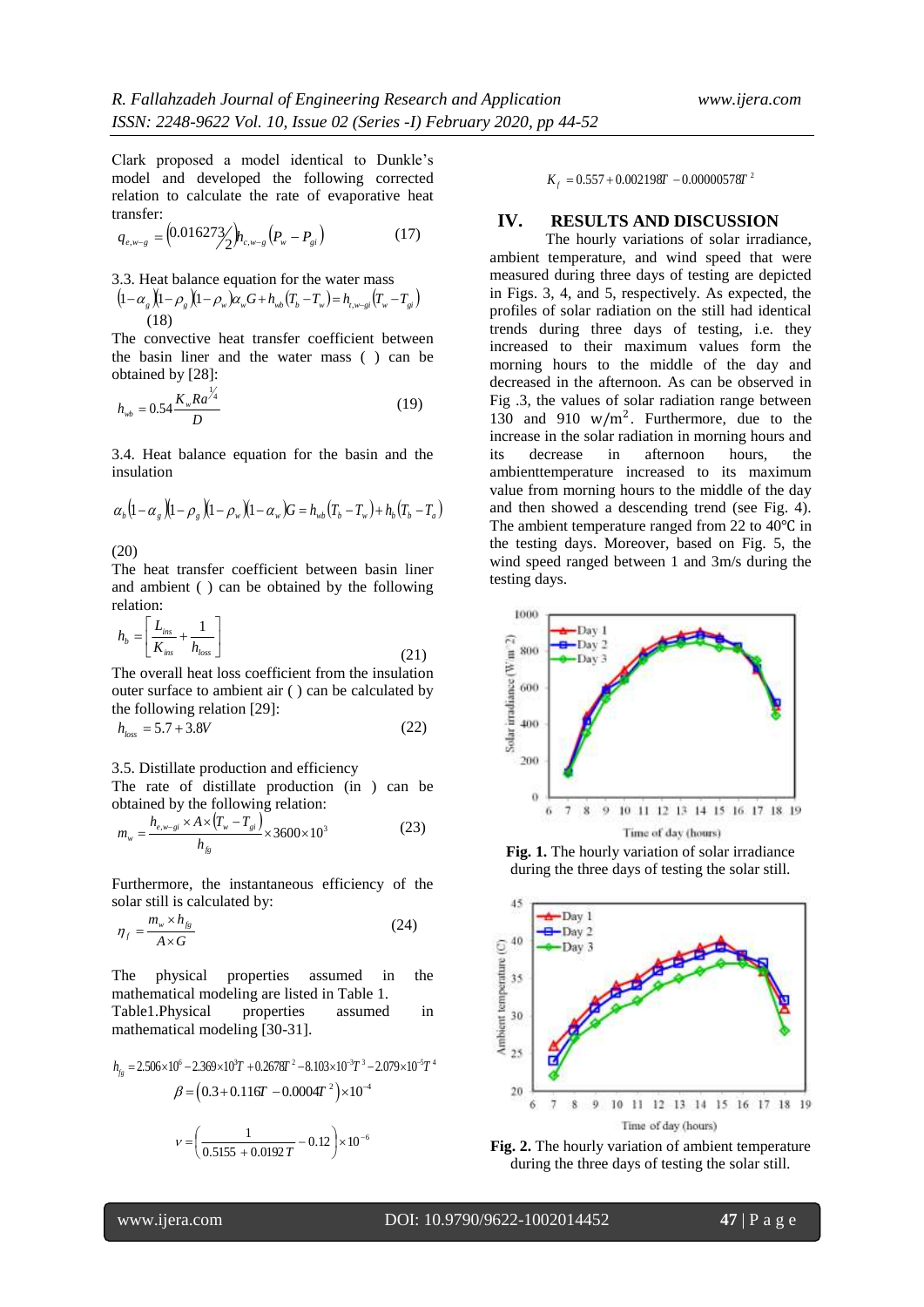Clark proposed a model identical to Dunkle's model and developed the following corrected relation to calculate the rate of evaporative heat transfer:

$$
q_{e,w-g} = (0.016273 / \hbar_{c,w-g} (P_w - P_{gi}) \tag{17}
$$

3.3. Heat balance equation for the water mass  $(1-\alpha_g)(1-\beta_g)(1-\beta_w)\alpha_wG+h_{wb}(T_b-T_w)=h_{t, w-gi}(T_w-T_{gi})$ (18)

The convective heat transfer coefficient between the basin liner and the water mass ( ) can be obtained by [28]:

$$
h_{wb} = 0.54 \frac{K_w R a^{\frac{1}{4}}}{D} \tag{19}
$$

3.4. Heat balance equation for the basin and the insulation

$$
\alpha_{b} \left(1-\alpha_{g}\right)\left(1-\rho_{g}\right)\left(1-\rho_{w}\right)\left(1-\alpha_{w}\right)G=h_{wb}\left(T_{b}-T_{w}\right)+h_{b}\left(T_{b}-T_{a}\right)
$$

(20)

The heat transfer coefficient between basin liner and ambient ( ) can be obtained by the following relation:

$$
h_b = \left[\frac{L_{ins}}{K_{ins}} + \frac{1}{h_{loss}}\right]
$$
\n(21)

The overall heat loss coefficient from the insulation outer surface to ambient air ( ) can be calculated by the following relation [29]:

$$
h_{loss} = 5.7 + 3.8V
$$
 (22)

3.5. Distillate production and efficiency

The rate of distillate production (in ) can be obtained by the following relation:

$$
m_w = \frac{h_{e,w-gi} \times A \times (T_w - T_{gi})}{h_{fg}} \times 3600 \times 10^3
$$
 (23)

Furthermore, the instantaneous efficiency of the solar still is calculated by:

$$
\eta_f = \frac{m_w \times h_{fg}}{A \times G} \tag{24}
$$

The physical properties assumed in the mathematical modeling are listed in Table 1. Table1.Physical properties assumed in

mathematical modeling [30-31].  
\n
$$
h_{f_g} = 2.506 \times 10^6 - 2.369 \times 10^3 T + 0.2678T^2 - 8.103 \times 10^{-3}T^3 - 2.079 \times 10^{-5}T^4
$$
\n
$$
\beta = (0.3 + 0.116T - 0.0004T^2) \times 10^{-4}
$$
\n
$$
v = \left(\frac{1}{0.5155 + 0.0192T} - 0.12\right) \times 10^{-6}
$$

 $K_f = 0.557 + 0.002198T - 0.00000578T^2$ 

## **IV. RESULTS AND DISCUSSION**

The hourly variations of solar irradiance, ambient temperature, and wind speed that were measured during three days of testing are depicted in Figs. 3, 4, and 5, respectively. As expected, the profiles of solar radiation on the still had identical trends during three days of testing, i.e. they increased to their maximum values form the morning hours to the middle of the day and decreased in the afternoon. As can be observed in Fig .3, the values of solar radiation range between 130 and 910  $w/m^2$ . Furthermore, due to the increase in the solar radiation in morning hours and its decrease in afternoon hours, the ambienttemperature increased to its maximum value from morning hours to the middle of the day and then showed a descending trend (see Fig. 4). The ambient temperature ranged from 22 to 40℃ in the testing days. Moreover, based on Fig. 5, the wind speed ranged between 1 and 3m/s during the testing days.



**Fig. 1.** The hourly variation of solar irradiance during the three days of testing the solar still.

![](_page_3_Figure_26.jpeg)

![](_page_3_Figure_27.jpeg)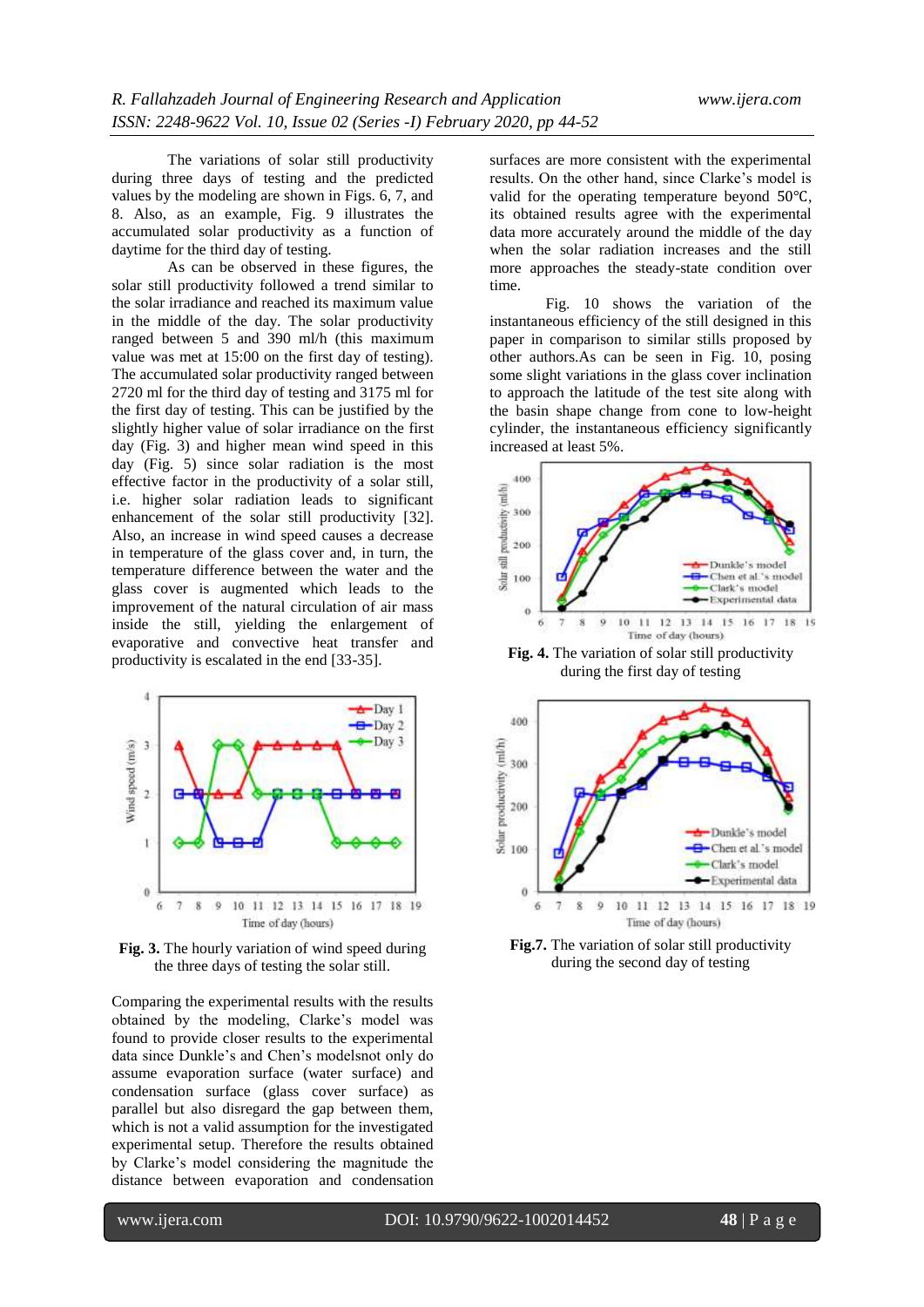The variations of solar still productivity during three days of testing and the predicted values by the modeling are shown in Figs. 6, 7, and 8. Also, as an example, Fig. 9 illustrates the accumulated solar productivity as a function of daytime for the third day of testing.

As can be observed in these figures, the solar still productivity followed a trend similar to the solar irradiance and reached its maximum value in the middle of the day. The solar productivity ranged between 5 and 390 ml/h (this maximum value was met at 15:00 on the first day of testing). The accumulated solar productivity ranged between 2720 ml for the third day of testing and 3175 ml for the first day of testing. This can be justified by the slightly higher value of solar irradiance on the first day (Fig. 3) and higher mean wind speed in this day (Fig. 5) since solar radiation is the most effective factor in the productivity of a solar still, i.e. higher solar radiation leads to significant enhancement of the solar still productivity [32]. Also, an increase in wind speed causes a decrease in temperature of the glass cover and, in turn, the temperature difference between the water and the glass cover is augmented which leads to the improvement of the natural circulation of air mass inside the still, yielding the enlargement of evaporative and convective heat transfer and productivity is escalated in the end [33-35].

![](_page_4_Figure_4.jpeg)

**Fig. 3.** The hourly variation of wind speed during the three days of testing the solar still.

Comparing the experimental results with the results obtained by the modeling, Clarke's model was found to provide closer results to the experimental data since Dunkle's and Chen's modelsnot only do assume evaporation surface (water surface) and condensation surface (glass cover surface) as parallel but also disregard the gap between them, which is not a valid assumption for the investigated experimental setup. Therefore the results obtained by Clarke's model considering the magnitude the distance between evaporation and condensation

surfaces are more consistent with the experimental results. On the other hand, since Clarke's model is valid for the operating temperature beyond 50℃, its obtained results agree with the experimental data more accurately around the middle of the day when the solar radiation increases and the still more approaches the steady-state condition over time.

Fig. 10 shows the variation of the instantaneous efficiency of the still designed in this paper in comparison to similar stills proposed by other authors.As can be seen in Fig. 10, posing some slight variations in the glass cover inclination to approach the latitude of the test site along with the basin shape change from cone to low-height cylinder, the instantaneous efficiency significantly increased at least 5%.

![](_page_4_Figure_9.jpeg)

**Fig. 4.** The variation of solar still productivity during the first day of testing

![](_page_4_Figure_11.jpeg)

**Fig.7.** The variation of solar still productivity during the second day of testing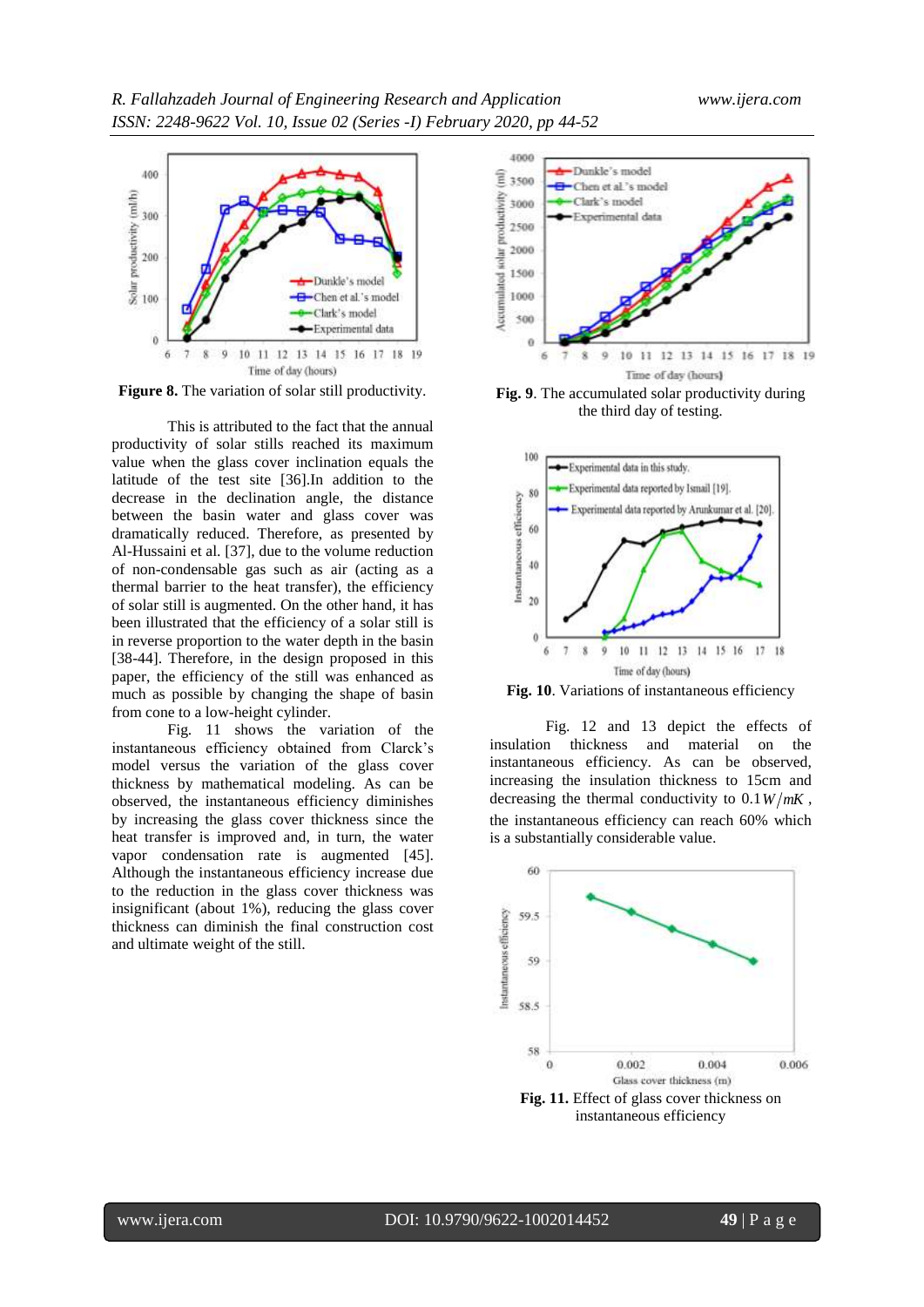![](_page_5_Figure_2.jpeg)

**Figure 8.** The variation of solar still productivity.

This is attributed to the fact that the annual productivity of solar stills reached its maximum value when the glass cover inclination equals the latitude of the test site [36].In addition to the decrease in the declination angle, the distance between the basin water and glass cover was dramatically reduced. Therefore, as presented by Al-Hussaini et al. [37], due to the volume reduction of non-condensable gas such as air (acting as a thermal barrier to the heat transfer), the efficiency of solar still is augmented. On the other hand, it has been illustrated that the efficiency of a solar still is in reverse proportion to the water depth in the basin [38-44]. Therefore, in the design proposed in this paper, the efficiency of the still was enhanced as much as possible by changing the shape of basin from cone to a low-height cylinder.

Fig. 11 shows the variation of the instantaneous efficiency obtained from Clarck's model versus the variation of the glass cover thickness by mathematical modeling. As can be observed, the instantaneous efficiency diminishes by increasing the glass cover thickness since the heat transfer is improved and, in turn, the water vapor condensation rate is augmented [45]. Although the instantaneous efficiency increase due to the reduction in the glass cover thickness was insignificant (about 1%), reducing the glass cover thickness can diminish the final construction cost and ultimate weight of the still.

![](_page_5_Figure_6.jpeg)

**Fig. 9**. The accumulated solar productivity during the third day of testing.

![](_page_5_Figure_8.jpeg)

**Fig. 10**. Variations of instantaneous efficiency

Fig. 12 and 13 depict the effects of insulation thickness and material on the instantaneous efficiency. As can be observed, increasing the insulation thickness to 15cm and decreasing the thermal conductivity to  $0.1 W/mK$ , the instantaneous efficiency can reach 60% which is a substantially considerable value.

![](_page_5_Figure_11.jpeg)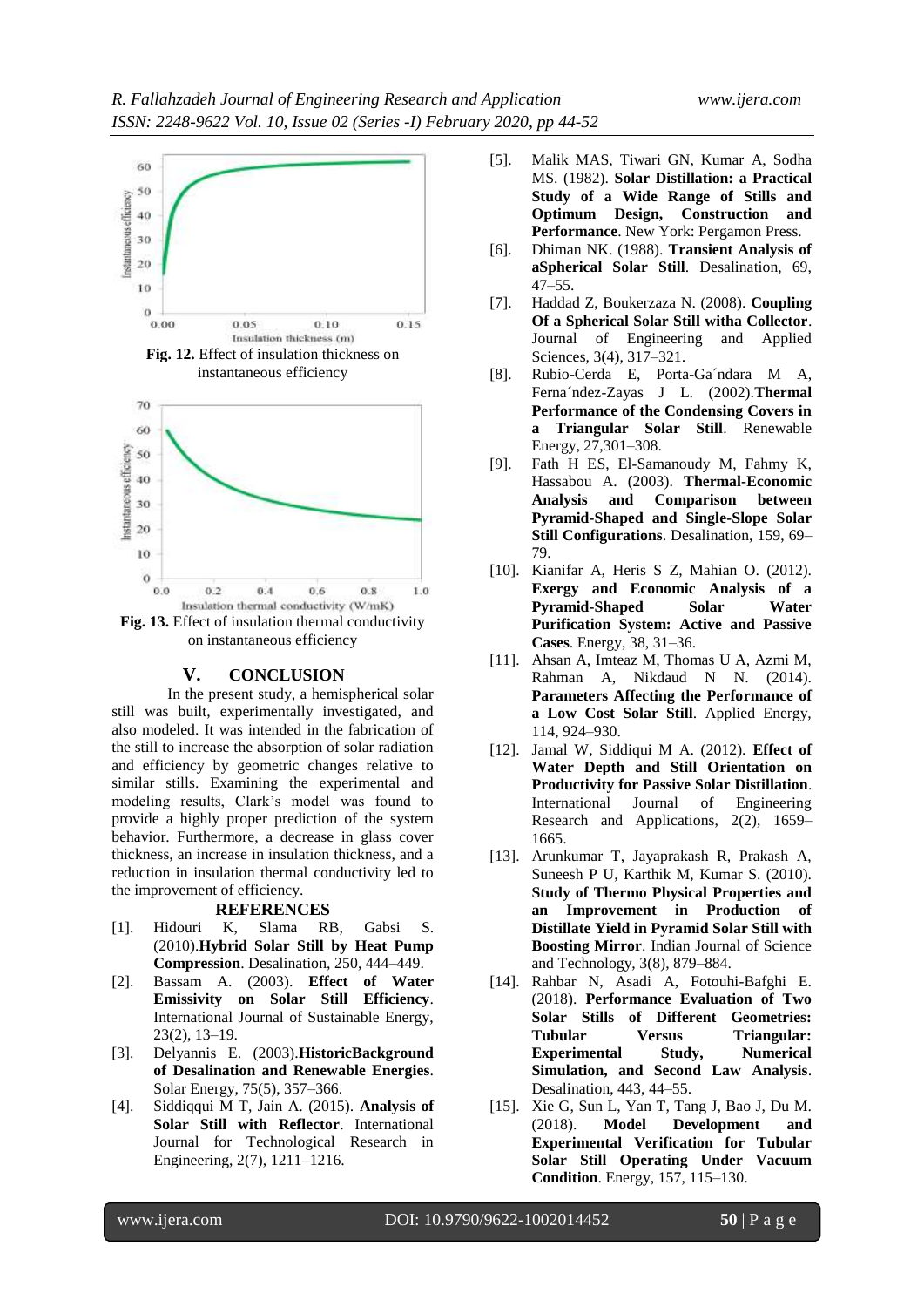![](_page_6_Figure_2.jpeg)

**Fig. 12.** Effect of insulation thickness on instantaneous efficiency

![](_page_6_Figure_4.jpeg)

on instantaneous efficiency

#### **V. CONCLUSION**

In the present study, a hemispherical solar still was built, experimentally investigated, and also modeled. It was intended in the fabrication of the still to increase the absorption of solar radiation and efficiency by geometric changes relative to similar stills. Examining the experimental and modeling results, Clark's model was found to provide a highly proper prediction of the system behavior. Furthermore, a decrease in glass cover thickness, an increase in insulation thickness, and a reduction in insulation thermal conductivity led to the improvement of efficiency.

#### **REFERENCES**

- [1]. Hidouri K, Slama RB, Gabsi S. (2010).**Hybrid Solar Still by Heat Pump Compression**. Desalination, 250, 444–449.
- [2]. Bassam A. (2003). **Effect of Water Emissivity on Solar Still Efficiency**. International Journal of Sustainable Energy, 23(2), 13–19.
- [3]. Delyannis E. (2003).**HistoricBackground of Desalination and Renewable Energies**. Solar Energy, 75(5), 357–366.
- [4]. Siddiqqui M T, Jain A. (2015). **Analysis of Solar Still with Reflector**. International Journal for Technological Research in Engineering, 2(7), 1211–1216.
- [5]. Malik MAS, Tiwari GN, Kumar A, Sodha MS. (1982). **Solar Distillation: a Practical Study of a Wide Range of Stills and Optimum Design, Construction and Performance**. New York: Pergamon Press.
- [6]. Dhiman NK. (1988). **Transient Analysis of aSpherical Solar Still**. Desalination, 69,  $47 - 55$ .
- [7]. Haddad Z, Boukerzaza N. (2008). **Coupling Of a Spherical Solar Still witha Collector**. Journal of Engineering and Applied Sciences, 3(4), 317–321.
- [8]. Rubio-Cerda E, Porta-Ga´ndara M A, Ferna´ndez-Zayas J L. (2002).**Thermal Performance of the Condensing Covers in a Triangular Solar Still**. Renewable Energy, 27,301–308.
- [9]. Fath H ES, El-Samanoudy M, Fahmy K, Hassabou A. (2003). **Thermal-Economic Analysis and Comparison between Pyramid-Shaped and Single-Slope Solar Still Configurations**. Desalination, 159, 69– 79.
- [10]. Kianifar A, Heris S Z, Mahian O. (2012). **Exergy and Economic Analysis of a Pyramid-Shaped Solar Water Purification System: Active and Passive Cases**. Energy, 38, 31–36.
- [11]. Ahsan A, Imteaz M, Thomas U A, Azmi M, Rahman A, Nikdaud N N. (2014). **Parameters Affecting the Performance of a Low Cost Solar Still**. Applied Energy, 114, 924–930.
- [12]. Jamal W, Siddiqui M A. (2012). **Effect of Water Depth and Still Orientation on Productivity for Passive Solar Distillation**. International Journal of Engineering Research and Applications, 2(2), 1659– 1665.
- [13]. Arunkumar T, Jayaprakash R, Prakash A, Suneesh P U, Karthik M, Kumar S. (2010). **Study of Thermo Physical Properties and an Improvement in Production of Distillate Yield in Pyramid Solar Still with Boosting Mirror**. Indian Journal of Science and Technology, 3(8), 879–884.
- [14]. Rahbar N, Asadi A, Fotouhi-Bafghi E. (2018). **Performance Evaluation of Two Solar Stills of Different Geometries: Tubular Versus Triangular: Experimental Study, Numerical Simulation, and Second Law Analysis**. Desalination, 443, 44–55.
- [15]. Xie G, Sun L, Yan T, Tang J, Bao J, Du M. (2018). **Model Development and Experimental Verification for Tubular Solar Still Operating Under Vacuum Condition**. Energy, 157, 115–130.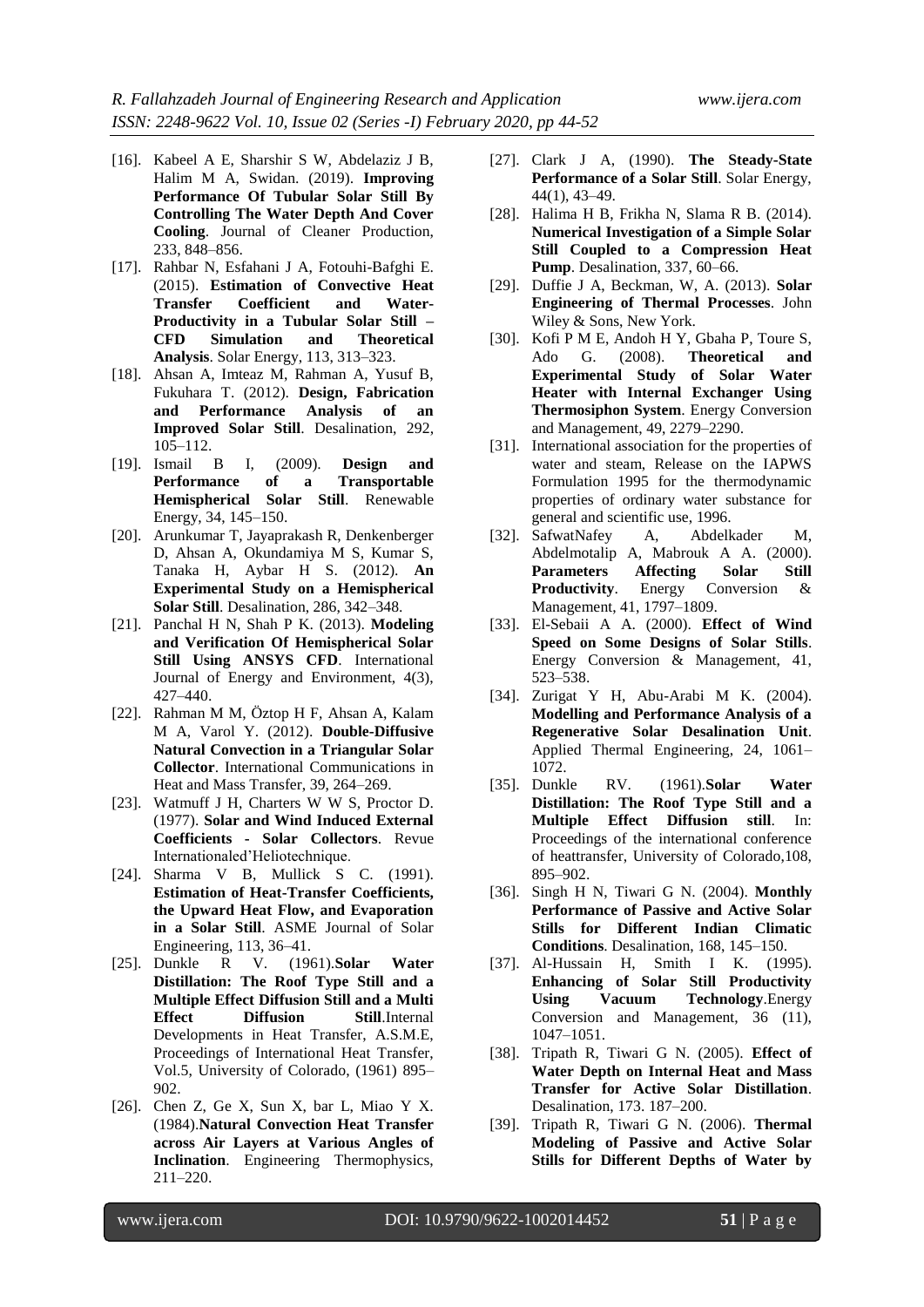- [16]. Kabeel A E, Sharshir S W, Abdelaziz J B, Halim M A, Swidan. (2019). **Improving Performance Of Tubular Solar Still By Controlling The Water Depth And Cover Cooling**. Journal of Cleaner Production, 233, 848–856.
- [17]. Rahbar N, Esfahani J A, Fotouhi-Bafghi E. (2015). **Estimation of Convective Heat Transfer Coefficient and Water-Productivity in a Tubular Solar Still – CFD Simulation and Theoretical Analysis**. Solar Energy, 113, 313–323.
- [18]. Ahsan A, Imteaz M, Rahman A, Yusuf B, Fukuhara T. (2012). **Design, Fabrication and Performance Analysis of an Improved Solar Still**. Desalination, 292, 105–112.
- [19]. Ismail B I, (2009). **Design and Performance of a Transportable Hemispherical Solar Still**. Renewable Energy, 34, 145–150.
- [20]. Arunkumar T, Jayaprakash R, Denkenberger D, Ahsan A, Okundamiya M S, Kumar S, Tanaka H, Aybar H S. (2012). **An Experimental Study on a Hemispherical Solar Still**. Desalination, 286, 342–348.
- [21]. Panchal H N, Shah P K. (2013). **Modeling and Verification Of Hemispherical Solar Still Using ANSYS CFD**. International Journal of Energy and Environment, 4(3), 427–440.
- [22]. Rahman M M, Öztop H F, Ahsan A, Kalam M A, Varol Y. (2012). **Double-Diffusive Natural Convection in a Triangular Solar Collector**. International Communications in Heat and Mass Transfer, 39, 264–269.
- [23]. Watmuff J H, Charters W W S, Proctor D. (1977). **Solar and Wind Induced External Coefficients - Solar Collectors**. Revue Internationaled'Heliotechnique.
- [24]. Sharma V B, Mullick S C. (1991). **Estimation of Heat-Transfer Coefficients, the Upward Heat Flow, and Evaporation in a Solar Still**. ASME Journal of Solar Engineering, 113, 36–41.
- [25]. Dunkle R V. (1961).**Solar Water Distillation: The Roof Type Still and a Multiple Effect Diffusion Still and a Multi Effect Diffusion Still**.Internal Developments in Heat Transfer, A.S.M.E, Proceedings of International Heat Transfer, Vol.5, University of Colorado, (1961) 895– 902.
- [26]. Chen Z, Ge X, Sun X, bar L, Miao Y X. (1984).**Natural Convection Heat Transfer across Air Layers at Various Angles of Inclination**. Engineering Thermophysics, 211–220.
- [27]. Clark J A, (1990). **The Steady-State Performance of a Solar Still**. Solar Energy, 44(1), 43–49.
- [28]. Halima H B, Frikha N, Slama R B. (2014). **Numerical Investigation of a Simple Solar Still Coupled to a Compression Heat Pump**. Desalination, 337, 60–66.
- [29]. Duffie J A, Beckman, W, A. (2013). **Solar Engineering of Thermal Processes**. John Wiley & Sons, New York.
- [30]. Kofi P M E, Andoh H Y, Gbaha P, Toure S, Ado G. (2008). **Theoretical and Experimental Study of Solar Water Heater with Internal Exchanger Using Thermosiphon System**. Energy Conversion and Management, 49, 2279–2290.
- [31]. International association for the properties of water and steam, Release on the IAPWS Formulation 1995 for the thermodynamic properties of ordinary water substance for general and scientific use, 1996.
- [32]. SafwatNafey A, Abdelkader M, Abdelmotalip A, Mabrouk A A. (2000). **Parameters Affecting Solar Still Productivity**. Energy Conversion & Management, 41, 1797–1809.
- [33]. El-Sebaii A A. (2000). **Effect of Wind Speed on Some Designs of Solar Stills**. Energy Conversion & Management, 41, 523–538.
- [34]. Zurigat Y H, Abu-Arabi M K. (2004). **Modelling and Performance Analysis of a Regenerative Solar Desalination Unit**. Applied Thermal Engineering, 24, 1061– 1072.
- [35]. Dunkle RV. (1961).**Solar Water Distillation: The Roof Type Still and a Multiple Effect Diffusion still**. In: Proceedings of the international conference of heattransfer, University of Colorado,108, 895–902.
- [36]. Singh H N, Tiwari G N. (2004). **Monthly Performance of Passive and Active Solar Stills for Different Indian Climatic Conditions**. Desalination, 168, 145–150.
- [37]. Al-Hussain H, Smith I K. (1995). **Enhancing of Solar Still Productivity Using Vacuum Technology**.Energy Conversion and Management, 36 (11), 1047–1051.
- [38]. Tripath R, Tiwari G N. (2005). **Effect of Water Depth on Internal Heat and Mass Transfer for Active Solar Distillation**. Desalination, 173. 187–200.
- [39]. Tripath R, Tiwari G N. (2006). **Thermal Modeling of Passive and Active Solar Stills for Different Depths of Water by**